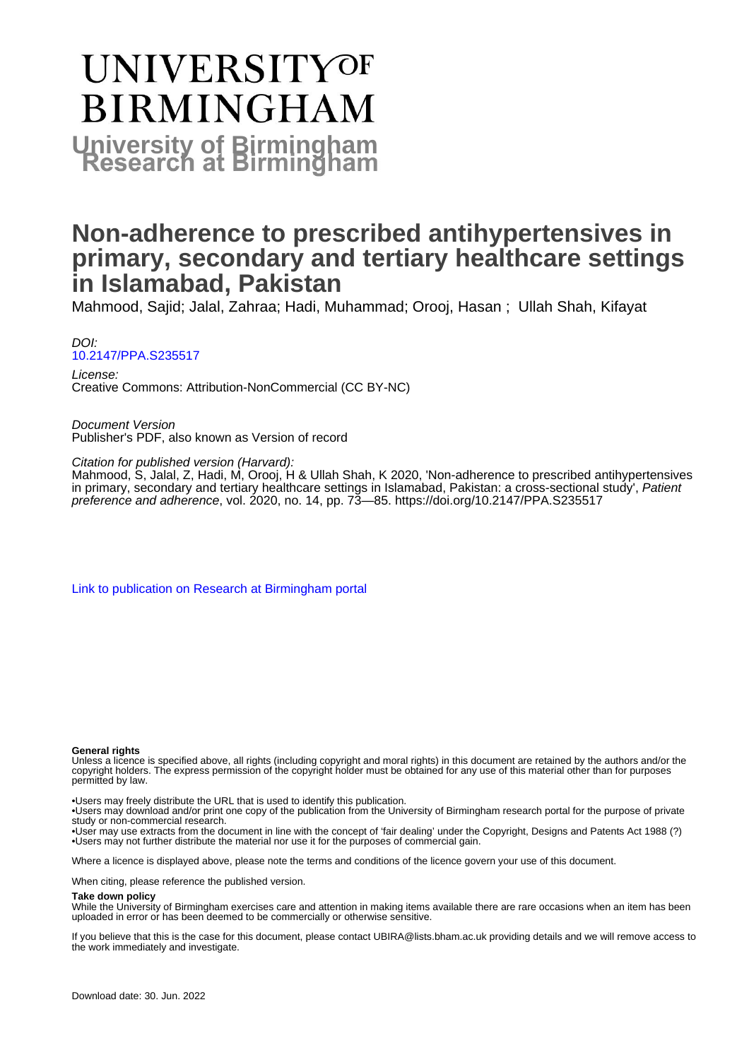# **UNIVERSITYOF BIRMINGHAM University of Birmingham**

# **Non-adherence to prescribed antihypertensives in primary, secondary and tertiary healthcare settings in Islamabad, Pakistan**

Mahmood, Sajid; Jalal, Zahraa; Hadi, Muhammad; Orooj, Hasan ; Ullah Shah, Kifayat

DOI: [10.2147/PPA.S235517](https://doi.org/10.2147/PPA.S235517)

License: Creative Commons: Attribution-NonCommercial (CC BY-NC)

Document Version Publisher's PDF, also known as Version of record

Citation for published version (Harvard):

Mahmood, S, Jalal, Z, Hadi, M, Orooj, H & Ullah Shah, K 2020, 'Non-adherence to prescribed antihypertensives in primary, secondary and tertiary healthcare settings in Islamabad, Pakistan: a cross-sectional study', Patient preference and adherence, vol. 2020, no. 14, pp. 73—85. <https://doi.org/10.2147/PPA.S235517>

[Link to publication on Research at Birmingham portal](https://birmingham.elsevierpure.com/en/publications/6942b46c-63e6-411e-9ce6-27311462af10)

#### **General rights**

Unless a licence is specified above, all rights (including copyright and moral rights) in this document are retained by the authors and/or the copyright holders. The express permission of the copyright holder must be obtained for any use of this material other than for purposes permitted by law.

• Users may freely distribute the URL that is used to identify this publication.

• Users may download and/or print one copy of the publication from the University of Birmingham research portal for the purpose of private study or non-commercial research.

• User may use extracts from the document in line with the concept of 'fair dealing' under the Copyright, Designs and Patents Act 1988 (?) • Users may not further distribute the material nor use it for the purposes of commercial gain.

Where a licence is displayed above, please note the terms and conditions of the licence govern your use of this document.

When citing, please reference the published version.

#### **Take down policy**

While the University of Birmingham exercises care and attention in making items available there are rare occasions when an item has been uploaded in error or has been deemed to be commercially or otherwise sensitive.

If you believe that this is the case for this document, please contact UBIRA@lists.bham.ac.uk providing details and we will remove access to the work immediately and investigate.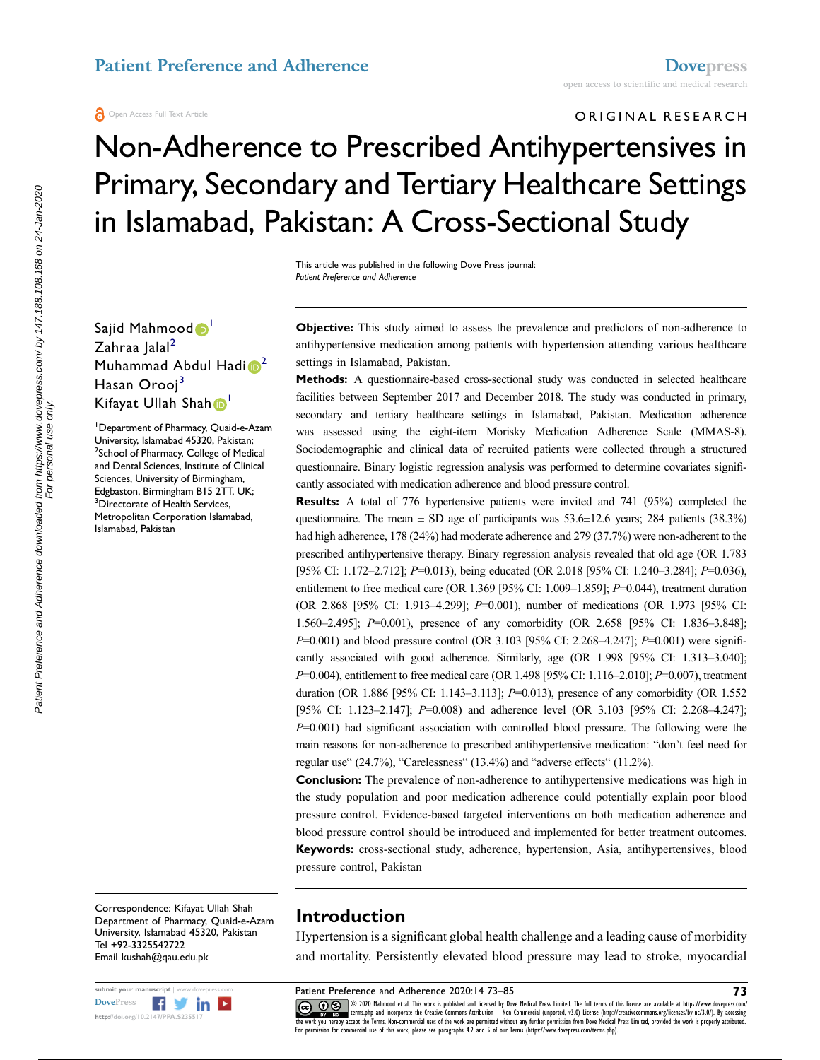## ORIGINAL RESEARCH

# Non-Adherence to Prescribed Antihypertensives in Primary, Secondary and Tertiary Healthcare Settings in Islamabad, Pakistan: A Cross-Sectional Study

This article was published in the following Dove Press journal: Patient Preference and Adherence

Sajid Mahmood D Zahraa Jalal<sup>[2](#page-1-1)</sup> Muhammad Abdul Hadi $\mathbb{D}^2$  $\mathbb{D}^2$ Hasan Orooj<sup>[3](#page-1-2)</sup> Kifayat Ulla[h](http://orcid.org/0000-0003-4061-8174) Shah <sup>[1](#page-1-0)</sup>

<span id="page-1-2"></span><span id="page-1-1"></span><span id="page-1-0"></span>1 Department of Pharmacy, Quaid-e-Azam University, Islamabad 45320, Pakistan; <sup>2</sup>School of Pharmacy, College of Medical and Dental Sciences, Institute of Clinical Sciences, University of Birmingham, Edgbaston, Birmingham B15 2TT, UK; <sup>3</sup> Directorate of Health Services, Metropolitan Corporation Islamabad, Islamabad, Pakistan

Correspondence: Kifayat Ullah Shah Department of Pharmacy, Quaid-e-Azam University, Islamabad 45320, Pakistan Tel +92-3325542722 Email kushah@qau.edu.pk



**Objective:** This study aimed to assess the prevalence and predictors of non-adherence to antihypertensive medication among patients with hypertension attending various healthcare settings in Islamabad, Pakistan.

Methods: A questionnaire-based cross-sectional study was conducted in selected healthcare facilities between September 2017 and December 2018. The study was conducted in primary, secondary and tertiary healthcare settings in Islamabad, Pakistan. Medication adherence was assessed using the eight-item Morisky Medication Adherence Scale (MMAS-8). Sociodemographic and clinical data of recruited patients were collected through a structured questionnaire. Binary logistic regression analysis was performed to determine covariates significantly associated with medication adherence and blood pressure control.

Results: A total of 776 hypertensive patients were invited and 741 (95%) completed the questionnaire. The mean  $\pm$  SD age of participants was 53.6 $\pm$ 12.6 years; 284 patients (38.3%) had high adherence, 178 (24%) had moderate adherence and 279 (37.7%) were non-adherent to the prescribed antihypertensive therapy. Binary regression analysis revealed that old age (OR 1.783 [95% CI: 1.172–2.712]; P=0.013), being educated (OR 2.018 [95% CI: 1.240–3.284]; P=0.036), entitlement to free medical care (OR 1.369 [95% CI: 1.009-1.859]; P=0.044), treatment duration (OR 2.868 [95% CI: 1.913–4.299]; P=0.001), number of medications (OR 1.973 [95% CI: 1.560–2.495]; P=0.001), presence of any comorbidity (OR 2.658 [95% CI: 1.836–3.848];  $P=0.001$ ) and blood pressure control (OR 3.103 [95% CI: 2.268-4.247];  $P=0.001$ ) were significantly associated with good adherence. Similarly, age (OR 1.998 [95% CI: 1.313–3.040]; P=0.004), entitlement to free medical care (OR 1.498 [95% CI: 1.116-2.010]; P=0.007), treatment duration (OR 1.886 [95% CI: 1.143–3.113]; P=0.013), presence of any comorbidity (OR 1.552 [95% CI: 1.123–2.147]; P=0.008) and adherence level (OR 3.103 [95% CI: 2.268–4.247];  $P=0.001$ ) had significant association with controlled blood pressure. The following were the main reasons for non-adherence to prescribed antihypertensive medication: "don't feel need for regular use" (24.7%), "Carelessness" (13.4%) and "adverse effects" (11.2%).

Conclusion: The prevalence of non-adherence to antihypertensive medications was high in the study population and poor medication adherence could potentially explain poor blood pressure control. Evidence-based targeted interventions on both medication adherence and blood pressure control should be introduced and implemented for better treatment outcomes. Keywords: cross-sectional study, adherence, hypertension, Asia, antihypertensives, blood pressure control, Pakistan

## Introduction

Hypertension is a significant global health challenge and a leading cause of morbidity and mortality. Persistently elevated blood pressure may lead to stroke, myocardial

submit your manuscript | www.dovepress.com **Patient Preference and Adherence 2020:14 73–85**<br>[DovePress](http://www.dovepress.com) **Figures** The Condensity Condensity of Section 2020 Mahmood et al. This work is published and licensed by Dove Medical P www.partierms.php and incorporate the Creative Commons Attribution — Non Commercial (unported, v3.0) License (http://creativecommons.org/licenses/by-nc/3.0/). By accessing<br>the work you hereby accept the Terms. Non-commerci For permission for commercial use of this work, please see paragraphs 4.2 and 5 of our Terms (https://www.dovepress.com/terms.php).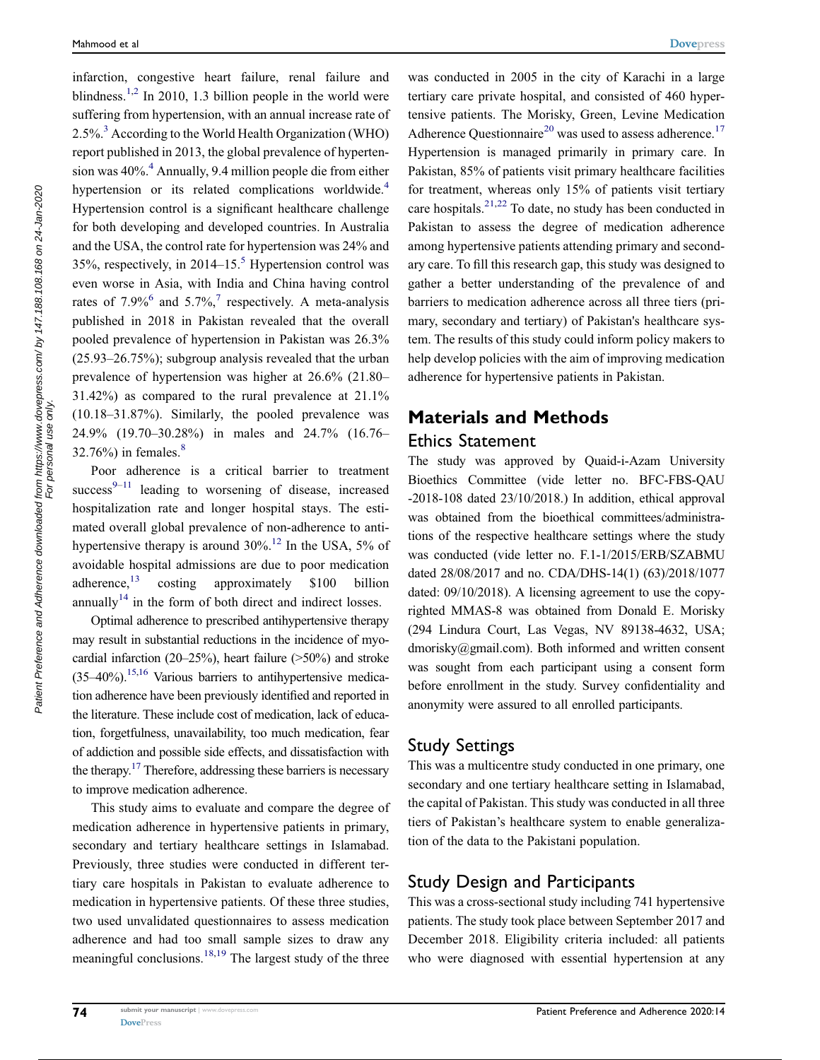<span id="page-2-3"></span><span id="page-2-2"></span><span id="page-2-1"></span><span id="page-2-0"></span>infarction, congestive heart failure, renal failure and blindness.<sup>[1](#page-11-0),[2](#page-11-1)</sup> In 2010, 1.3 billion people in the world were suffering from hypertension, with an annual increase rate of 2.5%[.3](#page-11-2) According to the World Health Organization (WHO) report published in 2013, the global prevalence of hyperten-sion was 40%.<sup>4</sup> Annually, 9[.4](#page-11-3) million people die from either hypertension or its related complications worldwide.<sup>[4](#page-11-3)</sup> Hypertension control is a significant healthcare challenge for both developing and developed countries. In Australia and the USA, the control rate for hypertension was 24% and 3[5](#page-11-4)%, respectively, in  $2014-15$ <sup>5</sup> Hypertension control was even worse in Asia, with India and China having control rates of  $7.9\%$  $7.9\%$ <sup>[6](#page-11-5)</sup> and  $5.7\%$ ,<sup>7</sup> respectively. A meta-analysis published in 2018 in Pakistan revealed that the overall pooled prevalence of hypertension in Pakistan was 26.3% (25.93–26.75%); subgroup analysis revealed that the urban prevalence of hypertension was higher at 26.6% (21.80– 31.42%) as compared to the rural prevalence at 21.1% (10.18–31.87%). Similarly, the pooled prevalence was 24.9% (19.70–30.28%) in males and 24.7% (16.76–  $32.76\%$ ) in females.<sup>[8](#page-11-7)</sup>

<span id="page-2-7"></span><span id="page-2-6"></span><span id="page-2-5"></span><span id="page-2-4"></span>Poor adherence is a critical barrier to treatment success<sup>[9](#page-11-8)–[11](#page-11-9)</sup> leading to worsening of disease, increased hospitalization rate and longer hospital stays. The estimated overall global prevalence of non-adherence to antihypertensive therapy is around  $30\%$ .<sup>[12](#page-11-10)</sup> In the USA, 5% of avoidable hospital admissions are due to poor medication adherence, $^{13}$  costing approximately \$100 billion annually $14$  in the form of both direct and indirect losses.

<span id="page-2-10"></span><span id="page-2-9"></span><span id="page-2-8"></span>Optimal adherence to prescribed antihypertensive therapy may result in substantial reductions in the incidence of myocardial infarction (20–25%), heart failure (>50%) and stroke  $(35-40\%)$ <sup>[15](#page-12-2)[,16](#page-12-3)</sup> Various barriers to antihypertensive medication adherence have been previously identified and reported in the literature. These include cost of medication, lack of education, forgetfulness, unavailability, too much medication, fear of addiction and possible side effects, and dissatisfaction with the therapy.<sup>17</sup> Therefore, addressing these barriers is necessary to improve medication adherence.

<span id="page-2-12"></span>This study aims to evaluate and compare the degree of medication adherence in hypertensive patients in primary, secondary and tertiary healthcare settings in Islamabad. Previously, three studies were conducted in different tertiary care hospitals in Pakistan to evaluate adherence to medication in hypertensive patients. Of these three studies, two used unvalidated questionnaires to assess medication adherence and had too small sample sizes to draw any meaningful conclusions.<sup>[18,](#page-12-5)[19](#page-12-6)</sup> The largest study of the three <span id="page-2-13"></span><span id="page-2-11"></span>was conducted in 2005 in the city of Karachi in a large tertiary care private hospital, and consisted of 460 hypertensive patients. The Morisky, Green, Levine Medication Adherence Questionnaire<sup>[20](#page-12-7)</sup> was used to assess adherence.<sup>[17](#page-12-4)</sup> Hypertension is managed primarily in primary care. In Pakistan, 85% of patients visit primary healthcare facilities for treatment, whereas only 15% of patients visit tertiary care hospitals.<sup>[21](#page-12-8)[,22](#page-12-9)</sup> To date, no study has been conducted in Pakistan to assess the degree of medication adherence among hypertensive patients attending primary and secondary care. To fill this research gap, this study was designed to gather a better understanding of the prevalence of and barriers to medication adherence across all three tiers (primary, secondary and tertiary) of Pakistan's healthcare system. The results of this study could inform policy makers to help develop policies with the aim of improving medication adherence for hypertensive patients in Pakistan.

## Materials and Methods Ethics Statement

The study was approved by Quaid-i-Azam University Bioethics Committee (vide letter no. BFC-FBS-QAU -2018-108 dated 23/10/2018.) In addition, ethical approval was obtained from the bioethical committees/administrations of the respective healthcare settings where the study was conducted (vide letter no. F.1-1/2015/ERB/SZABMU dated 28/08/2017 and no. CDA/DHS-14(1) (63)/2018/1077 dated: 09/10/2018). A licensing agreement to use the copyrighted MMAS-8 was obtained from Donald E. Morisky (294 Lindura Court, Las Vegas, NV 89138-4632, USA; dmorisky@gmail.com). Both informed and written consent was sought from each participant using a consent form before enrollment in the study. Survey confidentiality and anonymity were assured to all enrolled participants.

## Study Settings

This was a multicentre study conducted in one primary, one secondary and one tertiary healthcare setting in Islamabad, the capital of Pakistan. This study was conducted in all three tiers of Pakistan's healthcare system to enable generalization of the data to the Pakistani population.

## Study Design and Participants

This was a cross-sectional study including 741 hypertensive patients. The study took place between September 2017 and December 2018. Eligibility criteria included: all patients who were diagnosed with essential hypertension at any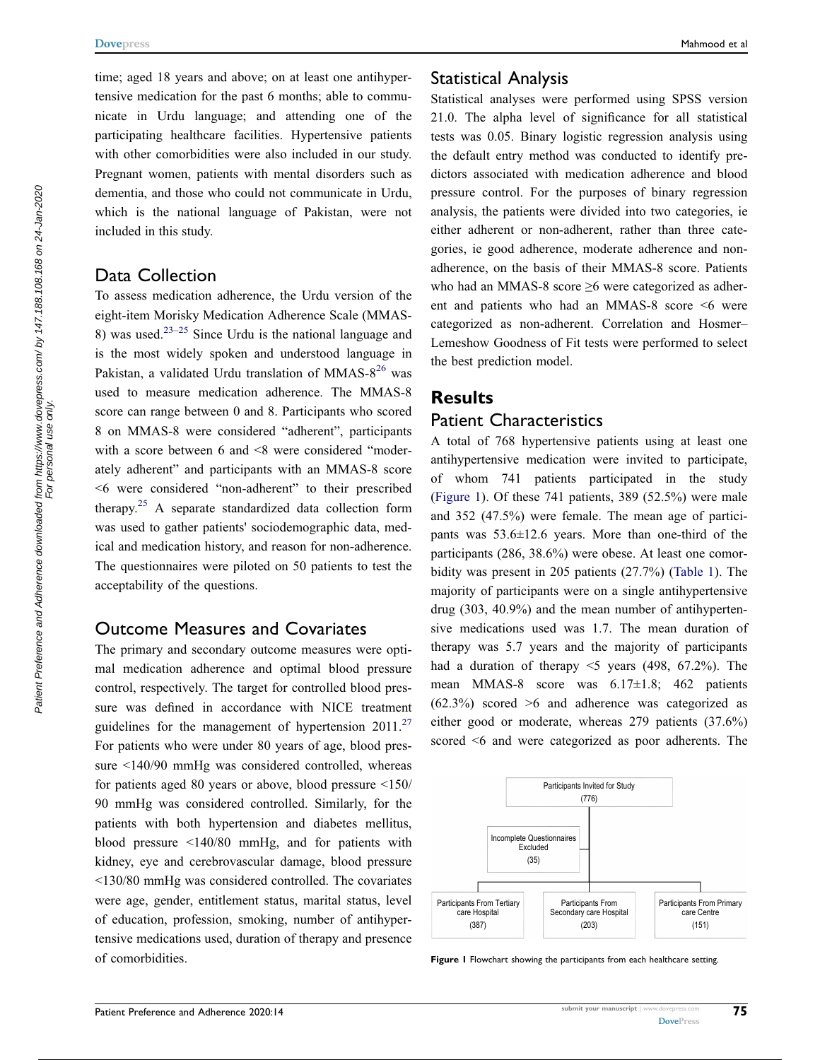time; aged 18 years and above; on at least one antihypertensive medication for the past 6 months; able to communicate in Urdu language; and attending one of the participating healthcare facilities. Hypertensive patients with other comorbidities were also included in our study. Pregnant women, patients with mental disorders such as dementia, and those who could not communicate in Urdu, which is the national language of Pakistan, were not included in this study.

## Data Collection

<span id="page-3-3"></span><span id="page-3-1"></span>To assess medication adherence, the Urdu version of the eight-item Morisky Medication Adherence Scale (MMAS-8) was used. $2^{3-25}$  $2^{3-25}$  $2^{3-25}$  Since Urdu is the national language and is the most widely spoken and understood language in Pakistan, a validated Urdu translation of MMAS- $8^{26}$  $8^{26}$  $8^{26}$  was used to measure medication adherence. The MMAS-8 score can range between 0 and 8. Participants who scored 8 on MMAS-8 were considered "adherent", participants with a score between 6 and <8 were considered "moderately adherent" and participants with an MMAS-8 score <6 were considered "non-adherent" to their prescribed therapy. $25$  A separate standardized data collection form was used to gather patients' sociodemographic data, medical and medication history, and reason for non-adherence. The questionnaires were piloted on 50 patients to test the acceptability of the questions.

## <span id="page-3-2"></span>Outcome Measures and Covariates

<span id="page-3-4"></span>The primary and secondary outcome measures were optimal medication adherence and optimal blood pressure control, respectively. The target for controlled blood pressure was defined in accordance with NICE treatment guidelines for the management of hypertension  $2011$ .<sup>27</sup> For patients who were under 80 years of age, blood pressure <140/90 mmHg was considered controlled, whereas for patients aged 80 years or above, blood pressure <150/ 90 mmHg was considered controlled. Similarly, for the patients with both hypertension and diabetes mellitus, blood pressure <140/80 mmHg, and for patients with kidney, eye and cerebrovascular damage, blood pressure <130/80 mmHg was considered controlled. The covariates were age, gender, entitlement status, marital status, level of education, profession, smoking, number of antihypertensive medications used, duration of therapy and presence of comorbidities.

### Statistical Analysis

Statistical analyses were performed using SPSS version 21.0. The alpha level of significance for all statistical tests was 0.05. Binary logistic regression analysis using the default entry method was conducted to identify predictors associated with medication adherence and blood pressure control. For the purposes of binary regression analysis, the patients were divided into two categories, ie either adherent or non-adherent, rather than three categories, ie good adherence, moderate adherence and nonadherence, on the basis of their MMAS-8 score. Patients who had an MMAS-8 score ≥6 were categorized as adherent and patients who had an MMAS-8 score <6 were categorized as non-adherent. Correlation and Hosmer– Lemeshow Goodness of Fit tests were performed to select the best prediction model.

## **Results**

#### Patient Characteristics

A total of 768 hypertensive patients using at least one antihypertensive medication were invited to participate, of whom 741 patients participated in the study [\(Figure 1\)](#page-3-0). Of these 741 patients, 389 (52.5%) were male and 352 (47.5%) were female. The mean age of participants was 53.6±12.6 years. More than one-third of the participants (286, 38.6%) were obese. At least one comorbidity was present in 205 patients (27.7%) [\(Table 1\)](#page-4-0). The majority of participants were on a single antihypertensive drug (303, 40.9%) and the mean number of antihypertensive medications used was 1.7. The mean duration of therapy was 5.7 years and the majority of participants had a duration of therapy  $\leq$  years (498, 67.2%). The mean MMAS-8 score was 6.17±1.8; 462 patients (62.3%) scored >6 and adherence was categorized as either good or moderate, whereas 279 patients (37.6%) scored <6 and were categorized as poor adherents. The

<span id="page-3-0"></span>

Figure 1 Flowchart showing the participants from each healthcare setting.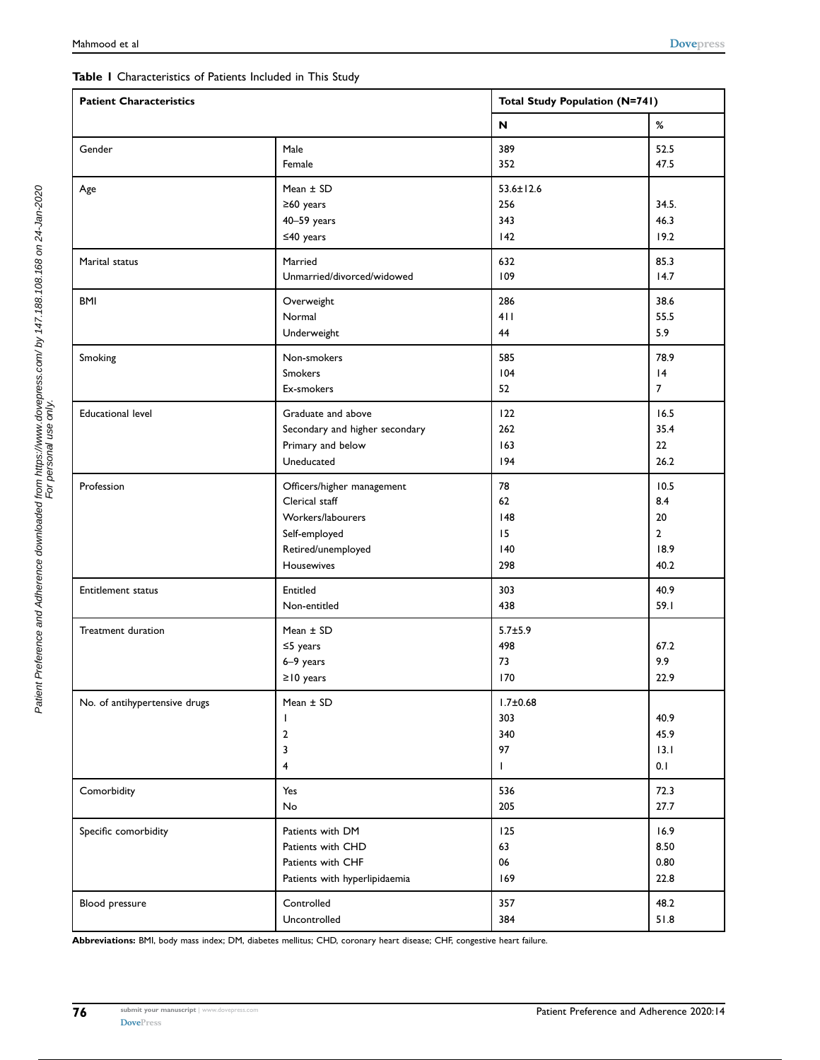<span id="page-4-0"></span>Table 1 Characteristics of Patients Included in This Study

| <b>Patient Characteristics</b> |                                                                    | <b>Total Study Population (N=741)</b>            |                             |  |  |
|--------------------------------|--------------------------------------------------------------------|--------------------------------------------------|-----------------------------|--|--|
|                                |                                                                    | N                                                | %                           |  |  |
| Gender                         | Male                                                               | 389                                              | 52.5                        |  |  |
|                                | Female                                                             | 352                                              | 47.5                        |  |  |
| Age                            | Mean $\pm$ SD<br>$\geq 60$ years<br>$40 - 59$ years<br>$≤40$ years | $53.6 \pm 12.6$<br>256<br>343<br>142             | 34.5.<br>46.3<br>19.2       |  |  |
| Marital status                 | Married                                                            | 632                                              | 85.3                        |  |  |
|                                | Unmarried/divorced/widowed                                         | 109                                              | 14.7                        |  |  |
| <b>BMI</b>                     | Overweight                                                         | 286                                              | 38.6                        |  |  |
|                                | Normal                                                             | 411                                              | 55.5                        |  |  |
|                                | Underweight                                                        | 44                                               | 5.9                         |  |  |
| Smoking                        | Non-smokers                                                        | 585                                              | 78.9                        |  |  |
|                                | Smokers                                                            | 104                                              | 4                           |  |  |
|                                | Ex-smokers                                                         | 52                                               | $\overline{7}$              |  |  |
| <b>Educational level</b>       | Graduate and above                                                 | 122                                              | 16.5                        |  |  |
|                                | Secondary and higher secondary                                     | 262                                              | 35.4                        |  |  |
|                                | Primary and below                                                  | 163                                              | 22                          |  |  |
|                                | Uneducated                                                         | 194                                              | 26.2                        |  |  |
| Profession                     | Officers/higher management                                         | 78                                               | 10.5                        |  |  |
|                                | Clerical staff                                                     | 62                                               | 8.4                         |  |  |
|                                | Workers/labourers                                                  | 148                                              | 20                          |  |  |
|                                | Self-employed                                                      | 15                                               | $\overline{2}$              |  |  |
|                                | Retired/unemployed                                                 | 140                                              | 18.9                        |  |  |
|                                | Housewives                                                         | 298                                              | 40.2                        |  |  |
| Entitlement status             | Entitled                                                           | 303                                              | 40.9                        |  |  |
|                                | Non-entitled                                                       | 438                                              | 59.1                        |  |  |
| Treatment duration             | Mean $\pm$ SD<br>$\leq$ 5 years<br>6-9 years<br>$\geq$ 10 years    | $5.7 + 5.9$<br>498<br>73<br>170                  | 67.2<br>9.9<br>22.9         |  |  |
| No. of antihypertensive drugs  | Mean $\pm$ SD<br>$\overline{\mathbf{c}}$<br>3<br>4                 | $1.7 + 0.68$<br>303<br>340<br>97<br>$\mathbf{L}$ | 40.9<br>45.9<br>13.1<br>0.1 |  |  |
| Comorbidity                    | Yes                                                                | 536                                              | 72.3                        |  |  |
|                                | No                                                                 | 205                                              | 27.7                        |  |  |
| Specific comorbidity           | Patients with DM                                                   | 125                                              | 16.9                        |  |  |
|                                | Patients with CHD                                                  | 63                                               | 8.50                        |  |  |
|                                | Patients with CHF                                                  | 06                                               | 0.80                        |  |  |
|                                | Patients with hyperlipidaemia                                      | 169                                              | 22.8                        |  |  |
| Blood pressure                 | Controlled                                                         | 357                                              | 48.2                        |  |  |
|                                | Uncontrolled                                                       | 384                                              | 51.8                        |  |  |

Abbreviations: BMI, body mass index; DM, diabetes mellitus; CHD, coronary heart disease; CHF, congestive heart failure.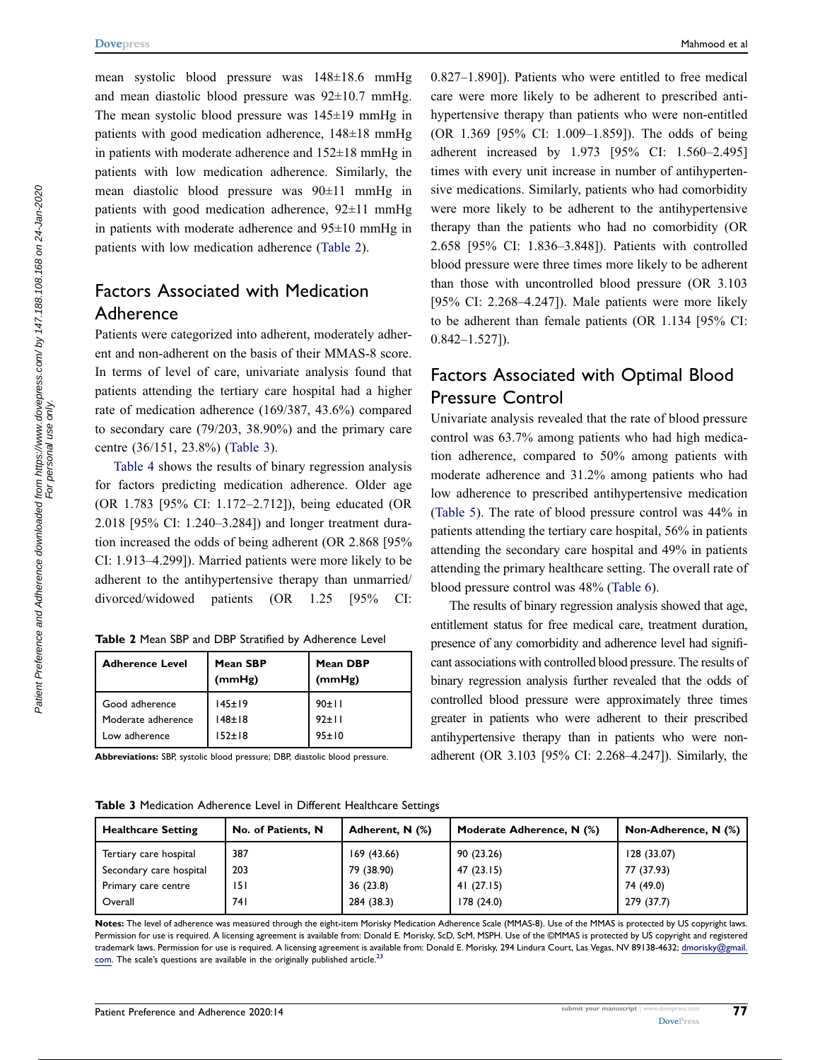mean systolic blood pressure was 148±18.6 mmHg and mean diastolic blood pressure was 92±10.7 mmHg. The mean systolic blood pressure was 145±19 mmHg in patients with good medication adherence, 148±18 mmHg in patients with moderate adherence and 152±18 mmHg in patients with low medication adherence. Similarly, the mean diastolic blood pressure was 90±11 mmHg in patients with good medication adherence, 92±11 mmHg in patients with moderate adherence and 95±10 mmHg in patients with low medication adherence ([Table 2](#page-5-0)).

## Factors Associated with Medication Adherence

Patients were categorized into adherent, moderately adherent and non-adherent on the basis of their MMAS-8 score. In terms of level of care, univariate analysis found that patients attending the tertiary care hospital had a higher rate of medication adherence (169/387, 43.6%) compared to secondary care (79/203, 38.90%) and the primary care centre (36/151, 23.8%) [\(Table 3\)](#page-5-1).

[Table 4](#page-6-0) shows the results of binary regression analysis for factors predicting medication adherence. Older age (OR 1.783 [95% CI: 1.172–2.712]), being educated (OR 2.018 [95% CI: 1.240–3.284]) and longer treatment duration increased the odds of being adherent (OR 2.868 [95% CI: 1.913–4.299]). Married patients were more likely to be adherent to the antihypertensive therapy than unmarried/ divorced/widowed patients (OR 1.25 [95% CI:

<span id="page-5-0"></span>Table 2 Mean SBP and DBP Stratified by Adherence Level

| <b>Adherence Level</b> | <b>Mean SBP</b><br>(mmHg) | <b>Mean DBP</b><br>(mmHg) |  |
|------------------------|---------------------------|---------------------------|--|
| Good adherence         | $145+19$                  | 90±11                     |  |
| Moderate adherence     | $148 + 18$                | $92 \pm 11$               |  |
| Low adherence          | $152 + 18$                | 95±10                     |  |

Abbreviations: SBP, systolic blood pressure; DBP, diastolic blood pressure.

0.827–1.890]). Patients who were entitled to free medical care were more likely to be adherent to prescribed antihypertensive therapy than patients who were non-entitled (OR 1.369 [95% CI: 1.009–1.859]). The odds of being adherent increased by 1.973 [95% CI: 1.560–2.495] times with every unit increase in number of antihypertensive medications. Similarly, patients who had comorbidity were more likely to be adherent to the antihypertensive therapy than the patients who had no comorbidity (OR 2.658 [95% CI: 1.836–3.848]). Patients with controlled blood pressure were three times more likely to be adherent than those with uncontrolled blood pressure (OR 3.103 [95% CI: 2.268–4.247]). Male patients were more likely to be adherent than female patients (OR 1.134 [95% CI:  $0.842 - 1.527$ ]).

## Factors Associated with Optimal Blood Pressure Control

Univariate analysis revealed that the rate of blood pressure control was 63.7% among patients who had high medication adherence, compared to 50% among patients with moderate adherence and 31.2% among patients who had low adherence to prescribed antihypertensive medication [\(Table 5\)](#page-7-0). The rate of blood pressure control was 44% in patients attending the tertiary care hospital, 56% in patients attending the secondary care hospital and 49% in patients attending the primary healthcare setting. The overall rate of blood pressure control was 48% ([Table 6\)](#page-7-1).

The results of binary regression analysis showed that age, entitlement status for free medical care, treatment duration, presence of any comorbidity and adherence level had significant associations with controlled blood pressure. The results of binary regression analysis further revealed that the odds of controlled blood pressure were approximately three times greater in patients who were adherent to their prescribed antihypertensive therapy than in patients who were nonadherent (OR 3.103 [95% CI: 2.268–4.247]). Similarly, the

<span id="page-5-1"></span>Table 3 Medication Adherence Level in Different Healthcare Settings

| <b>Healthcare Setting</b> | No. of Patients, N | Adherent, N (%) | Moderate Adherence, N (%) | Non-Adherence, N (%) |
|---------------------------|--------------------|-----------------|---------------------------|----------------------|
| Tertiary care hospital    | 387                | 169(43.66)      | 90 (23.26)                | 128(33.07)           |
| Secondary care hospital   | 203                | 79 (38.90)      | 47(23.15)                 | 77 (37.93)           |
| Primary care centre       | 151                | 36(23.8)        | 41(27.15)                 | 74 (49.0)            |
| Overall                   | 74 I               | 284 (38.3)      | 178(24.0)                 | 279 (37.7)           |

Notes: The level of adherence was measured through the eight-item Morisky Medication Adherence Scale (MMAS-8). Use of the MMAS is protected by US copyright laws. Permission for use is required. A licensing agreement is available from: Donald E. Morisky, ScD, ScM, MSPH. Use of the ©MMAS is protected by US copyright and registered trademark laws. Permission for use is required. A licensing agreement is available from: Donald E. Morisky, 294 Lindura Court, Las Vegas, NV 89138-4632; [dmorisky@gmail.](https://dmorisky@gmail.com) [com](https://dmorisky@gmail.com). The scale's questions are available in the originally published article.<sup>23</sup>

77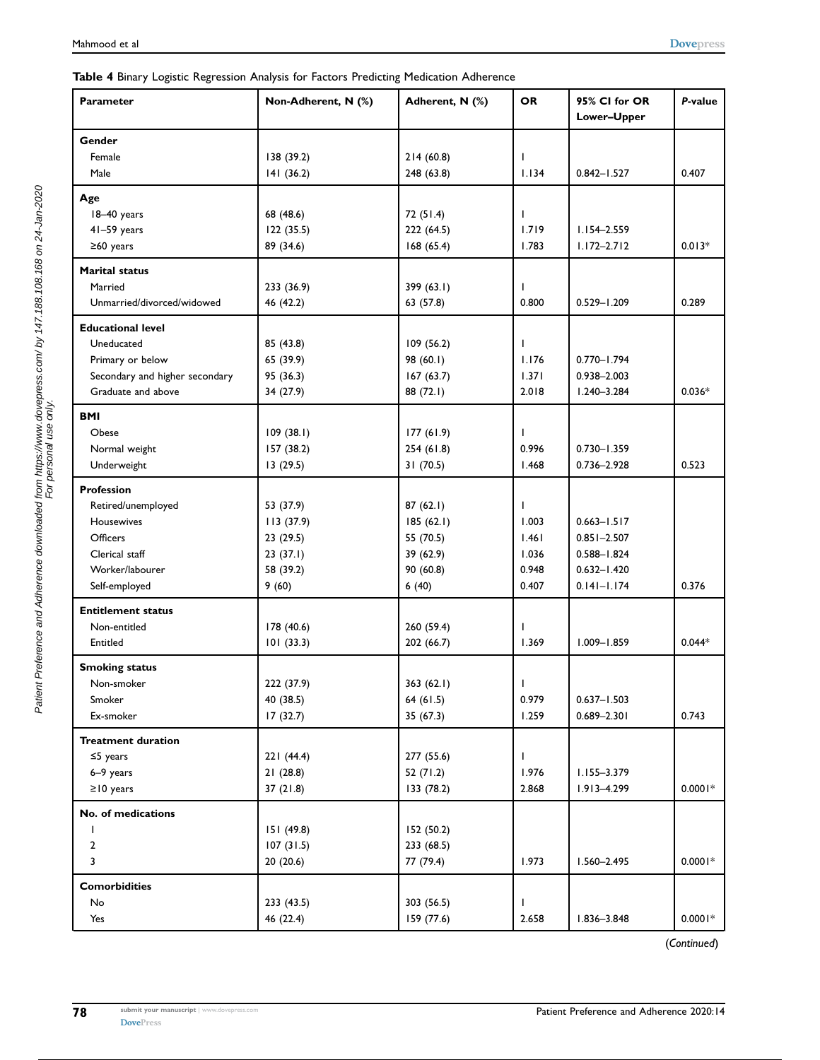#### <span id="page-6-0"></span>Table 4 Binary Logistic Regression Analysis for Factors Predicting Medication Adherence

| Parameter                      | Non-Adherent, N (%) | Adherent, N (%) | <b>OR</b>    | 95% CI for OR<br>Lower-Upper | P-value   |
|--------------------------------|---------------------|-----------------|--------------|------------------------------|-----------|
| Gender                         |                     |                 |              |                              |           |
| Female                         | 138 (39.2)          | 214(60.8)       | $\mathbf{I}$ |                              |           |
| Male                           | 141(36.2)           | 248 (63.8)      | 1.134        | $0.842 - 1.527$              | 0.407     |
| Age                            |                     |                 |              |                              |           |
| 18-40 years                    | 68 (48.6)           | 72 (51.4)       | $\mathbf{I}$ |                              |           |
| 41-59 years                    | 122 (35.5)          | 222 (64.5)      | 1.719        | $1.154 - 2.559$              |           |
| $\geq 60$ years                | 89 (34.6)           | 168(65.4)       | 1.783        | $1.172 - 2.712$              | $0.013*$  |
| <b>Marital status</b>          |                     |                 |              |                              |           |
| Married                        | 233 (36.9)          | 399 (63.1)      |              |                              |           |
| Unmarried/divorced/widowed     | 46 (42.2)           | 63 (57.8)       | 0.800        | $0.529 - 1.209$              | 0.289     |
| <b>Educational level</b>       |                     |                 |              |                              |           |
| Uneducated                     | 85 (43.8)           | 109 (56.2)      | L            |                              |           |
| Primary or below               | 65 (39.9)           | 98 (60.1)       | 1.176        | $0.770 - 1.794$              |           |
| Secondary and higher secondary | 95 (36.3)           | 167(63.7)       | 1.371        | 0.938-2.003                  |           |
| Graduate and above             | 34 (27.9)           | 88 (72.1)       | 2.018        | $1.240 - 3.284$              | $0.036*$  |
| <b>BMI</b>                     |                     |                 |              |                              |           |
| Obese                          | 109(38.1)           | 177(61.9)       | L            |                              |           |
| Normal weight                  | 157 (38.2)          | 254 (61.8)      | 0.996        | $0.730 - 1.359$              |           |
| Underweight                    | 13(29.5)            | 31(70.5)        | 1.468        | 0.736-2.928                  | 0.523     |
| <b>Profession</b>              |                     |                 |              |                              |           |
| Retired/unemployed             | 53 (37.9)           | 87(62.1)        |              |                              |           |
| <b>Housewives</b>              | 113(37.9)           | 185(62.1)       | 1.003        | $0.663 - 1.517$              |           |
| <b>Officers</b>                | 23(29.5)            | 55 (70.5)       | 1.461        | $0.851 - 2.507$              |           |
| Clerical staff                 | 23(37.1)            | 39 (62.9)       | 1.036        | $0.588 - 1.824$              |           |
| Worker/labourer                | 58 (39.2)           | 90 (60.8)       | 0.948        | $0.632 - 1.420$              |           |
| Self-employed                  | 9(60)               | 6(40)           | 0.407        | $0.141 - 1.174$              | 0.376     |
| <b>Entitlement status</b>      |                     |                 |              |                              |           |
| Non-entitled                   | 178 (40.6)          | 260 (59.4)      | ı            |                              |           |
| Entitled                       | 101(33.3)           | 202 (66.7)      | 1.369        | $1.009 - 1.859$              | $0.044*$  |
| <b>Smoking status</b>          |                     |                 |              |                              |           |
| Non-smoker                     | 222 (37.9)          | 363(62.1)       | I            |                              |           |
| Smoker                         | 40 (38.5)           | 64 (61.5)       | 0.979        | $0.637 - 1.503$              |           |
| Ex-smoker                      | 17(32.7)            | 35(67.3)        | 1.259        | $0.689 - 2.301$              | 0.743     |
| <b>Treatment duration</b>      |                     |                 |              |                              |           |
| $\leq$ 5 years                 | 221 (44.4)          | 277 (55.6)      |              |                              |           |
| 6-9 years                      | 21(28.8)            | 52 (71.2)       | 1.976        | $1.155 - 3.379$              |           |
| $\geq$ 10 years                | 37(21.8)            | 133 (78.2)      | 2.868        | $1.913 - 4.299$              | $0.0001*$ |
| No. of medications             |                     |                 |              |                              |           |
| $\mathbf{I}$                   | 151(49.8)           | 152 (50.2)      |              |                              |           |
| $\overline{2}$                 | 107(31.5)           | 233 (68.5)      |              |                              |           |
| 3                              | 20(20.6)            | 77 (79.4)       | 1.973        | $1.560 - 2.495$              | $0.0001*$ |
| <b>Comorbidities</b>           |                     |                 |              |                              |           |
| No                             | 233 (43.5)          | 303 (56.5)      |              |                              |           |
| Yes                            | 46 (22.4)           | 159 (77.6)      | 2.658        | 1.836-3.848                  | $0.0001*$ |

(Continued)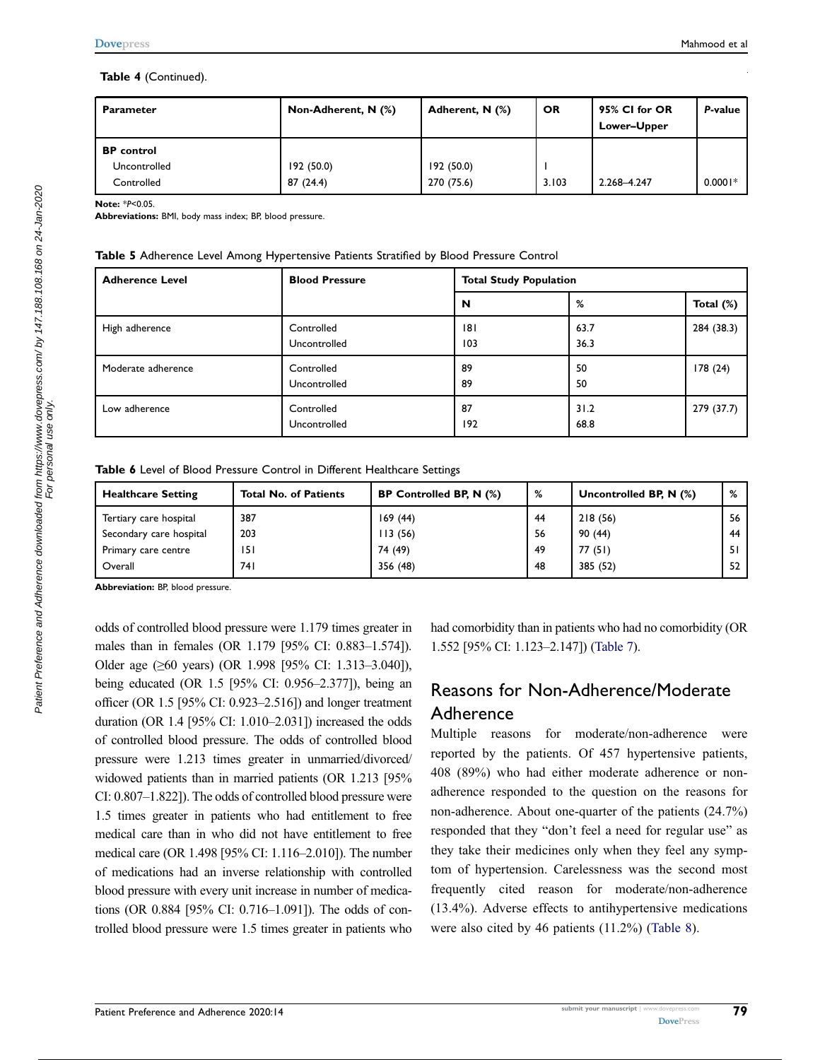#### Table 4 (Continued).

| <b>Parameter</b>  | Non-Adherent, N (%) | Adherent, N (%) | OR    | 95% CI for OR<br>Lower-Upper | P-value   |
|-------------------|---------------------|-----------------|-------|------------------------------|-----------|
| <b>BP</b> control |                     |                 |       |                              |           |
| Uncontrolled      | 192 (50.0)          | 192 (50.0)      |       |                              |           |
| Controlled        | 87 (24.4)           | 270 (75.6)      | 3.103 | 2.268-4.247                  | $0.0001*$ |

Note: \*P<0.05.

Abbreviations: BMI, body mass index; BP, blood pressure.

<span id="page-7-0"></span>

| <b>Adherence Level</b> | <b>Blood Pressure</b>      | <b>Total Study Population</b> |              |              |
|------------------------|----------------------------|-------------------------------|--------------|--------------|
|                        |                            | N                             | %            | Total $(\%)$ |
| High adherence         | Controlled<br>Uncontrolled | 8 <br>103                     | 63.7<br>36.3 | 284 (38.3)   |
| Moderate adherence     | Controlled<br>Uncontrolled | 89<br>89                      | 50<br>50     | 178 (24)     |
| Low adherence          | Controlled<br>Uncontrolled | 87<br>192                     | 31.2<br>68.8 | 279 (37.7)   |

<span id="page-7-1"></span>Table 6 Level of Blood Pressure Control in Different Healthcare Settings

| <b>Healthcare Setting</b> | <b>Total No. of Patients</b> | BP Controlled BP, N (%) | %  | Uncontrolled BP, N (%) | %  |
|---------------------------|------------------------------|-------------------------|----|------------------------|----|
| Tertiary care hospital    | 387                          | 169(44)                 | 44 | 218(56)                | 56 |
| Secondary care hospital   | 203                          | 113(56)                 | 56 | 90 (44)                | 44 |
| Primary care centre       | 151                          | 74 (49)                 | 49 | 77 (51)                | 51 |
| Overall                   | 74 I                         | 356 (48)                | 48 | 385 (52)               | 52 |

Abbreviation: BP, blood pressure.

odds of controlled blood pressure were 1.179 times greater in males than in females (OR 1.179 [95% CI: 0.883–1.574]). Older age (≥60 years) (OR 1.998 [95% CI: 1.313–3.040]), being educated (OR 1.5 [95% CI: 0.956–2.377]), being an officer (OR 1.5 [95% CI: 0.923–2.516]) and longer treatment duration (OR 1.4 [95% CI: 1.010–2.031]) increased the odds of controlled blood pressure. The odds of controlled blood pressure were 1.213 times greater in unmarried/divorced/ widowed patients than in married patients (OR 1.213 [95% CI: 0.807–1.822]). The odds of controlled blood pressure were 1.5 times greater in patients who had entitlement to free medical care than in who did not have entitlement to free medical care (OR 1.498 [95% CI: 1.116–2.010]). The number of medications had an inverse relationship with controlled blood pressure with every unit increase in number of medications (OR 0.884 [95% CI: 0.716–1.091]). The odds of controlled blood pressure were 1.5 times greater in patients who

had comorbidity than in patients who had no comorbidity (OR 1.552 [95% CI: 1.123–2.147]) [\(Table 7\)](#page-8-0).

## Reasons for Non-Adherence/Moderate Adherence

Multiple reasons for moderate/non-adherence were reported by the patients. Of 457 hypertensive patients, 408 (89%) who had either moderate adherence or nonadherence responded to the question on the reasons for non-adherence. About one-quarter of the patients (24.7%) responded that they "don't feel a need for regular use" as they take their medicines only when they feel any symptom of hypertension. Carelessness was the second most frequently cited reason for moderate/non-adherence (13.4%). Adverse effects to antihypertensive medications were also cited by 46 patients (11.2%) [\(Table 8\)](#page-9-0).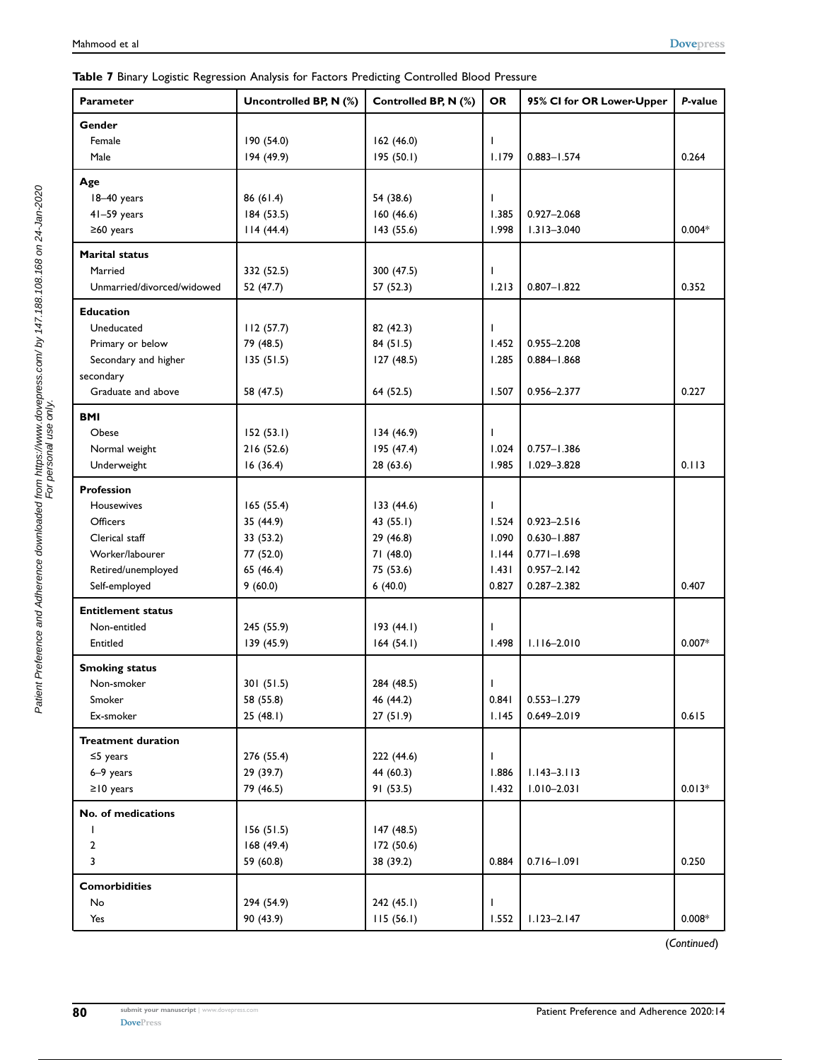<span id="page-8-0"></span>

| <b>Parameter</b>                | Uncontrolled BP, N (%) | Controlled BP, N (%) | <b>OR</b>    | 95% CI for OR Lower-Upper | P-value  |
|---------------------------------|------------------------|----------------------|--------------|---------------------------|----------|
| Gender                          |                        |                      |              |                           |          |
| Female                          | 190 (54.0)             | 162(46.0)            | T            |                           |          |
| Male                            | 194 (49.9)             | 195(50.1)            | 1.179        | $0.883 - 1.574$           | 0.264    |
| Age                             |                        |                      |              |                           |          |
| 18-40 years                     | 86 (61.4)              | 54 (38.6)            | T            |                           |          |
| 41-59 years                     | 184 (53.5)             | 160(46.6)            | 1.385        | 0.927-2.068               |          |
| $\geq 60$ years                 | 114(44.4)              | 143 (55.6)           | 1.998        | $1.313 - 3.040$           | $0.004*$ |
| <b>Marital status</b>           |                        |                      |              |                           |          |
| Married                         | 332 (52.5)             | 300 (47.5)           | T            |                           |          |
| Unmarried/divorced/widowed      | 52 (47.7)              | 57 (52.3)            | 1.213        | $0.807 - 1.822$           | 0.352    |
| <b>Education</b>                |                        |                      |              |                           |          |
| Uneducated                      | 112(57.7)              | 82 (42.3)            | T            |                           |          |
| Primary or below                | 79 (48.5)              | 84 (51.5)            | 1.452        | 0.955-2.208               |          |
| Secondary and higher            | 135(51.5)              | 127 (48.5)           | 1.285        | $0.884 - 1.868$           |          |
|                                 |                        |                      |              |                           |          |
| secondary<br>Graduate and above | 58 (47.5)              | 64 (52.5)            | 1.507        | 0.956-2.377               | 0.227    |
|                                 |                        |                      |              |                           |          |
| <b>BMI</b>                      |                        |                      |              |                           |          |
| Obese                           | 152(53.1)              | 134(46.9)            | I            |                           |          |
| Normal weight                   | 216 (52.6)             | 195 (47.4)           | 1.024        | $0.757 - 1.386$           |          |
| Underweight                     | 16(36.4)               | 28 (63.6)            | 1.985        | 1.029-3.828               | 0.113    |
| Profession                      |                        |                      |              |                           |          |
| Housewives                      | 165(55.4)              | 133(44.6)            | $\mathbf{I}$ |                           |          |
| Officers                        | 35 (44.9)              | 43 (55.1)            | 1.524        | $0.923 - 2.516$           |          |
| Clerical staff                  | 33 (53.2)              | 29 (46.8)            | 1.090        | $0.630 - 1.887$           |          |
| Worker/labourer                 | 77 (52.0)              | 71 (48.0)            | 1.144        | $0.771 - 1.698$           |          |
| Retired/unemployed              | 65 (46.4)              | 75 (53.6)            | 1.431        | $0.957 - 2.142$           |          |
| Self-employed                   | 9(60.0)                | 6(40.0)              | 0.827        | $0.287 - 2.382$           | 0.407    |
| <b>Entitlement status</b>       |                        |                      |              |                           |          |
| Non-entitled                    | 245 (55.9)             | 193(44.1)            | J.           |                           |          |
| Entitled                        | 139 (45.9)             | 164(54.1)            | 1.498        | $1.116 - 2.010$           | $0.007*$ |
| <b>Smoking status</b>           |                        |                      |              |                           |          |
| Non-smoker                      | 301 (51.5)             | 284 (48.5)           | $\mathbf{I}$ |                           |          |
| Smoker                          | 58 (55.8)              | 46 (44.2)            | 0.841        | $0.553 - 1.279$           |          |
| Ex-smoker                       | 25(48.1)               | 27(51.9)             | 1.145        | $0.649 - 2.019$           | 0.615    |
| <b>Treatment duration</b>       |                        |                      |              |                           |          |
| $\leq$ 5 years                  |                        |                      | $\mathbf{I}$ |                           |          |
|                                 | 276 (55.4)             | 222 (44.6)           |              |                           |          |
| 6-9 years                       | 29 (39.7)              | 44 (60.3)            | 1.886        | $1.143 - 3.113$           |          |
| $\geq$ 10 years                 | 79 (46.5)              | 91(53.5)             | 1.432        | $1.010 - 2.031$           | $0.013*$ |
| No. of medications              |                        |                      |              |                           |          |
|                                 | 156(51.5)              | 147(48.5)            |              |                           |          |
| $\mathbf{2}$                    | 168(49.4)              | 172 (50.6)           |              |                           |          |
| 3                               | 59 (60.8)              | 38 (39.2)            | 0.884        | $0.716 - 1.091$           | 0.250    |
| <b>Comorbidities</b>            |                        |                      |              |                           |          |
| No                              | 294 (54.9)             | 242(45.1)            | $\mathsf{I}$ |                           |          |
| Yes                             | 90 (43.9)              | 115(56.1)            | 1.552        | $1.123 - 2.147$           | $0.008*$ |
|                                 |                        |                      |              |                           |          |

(Continued)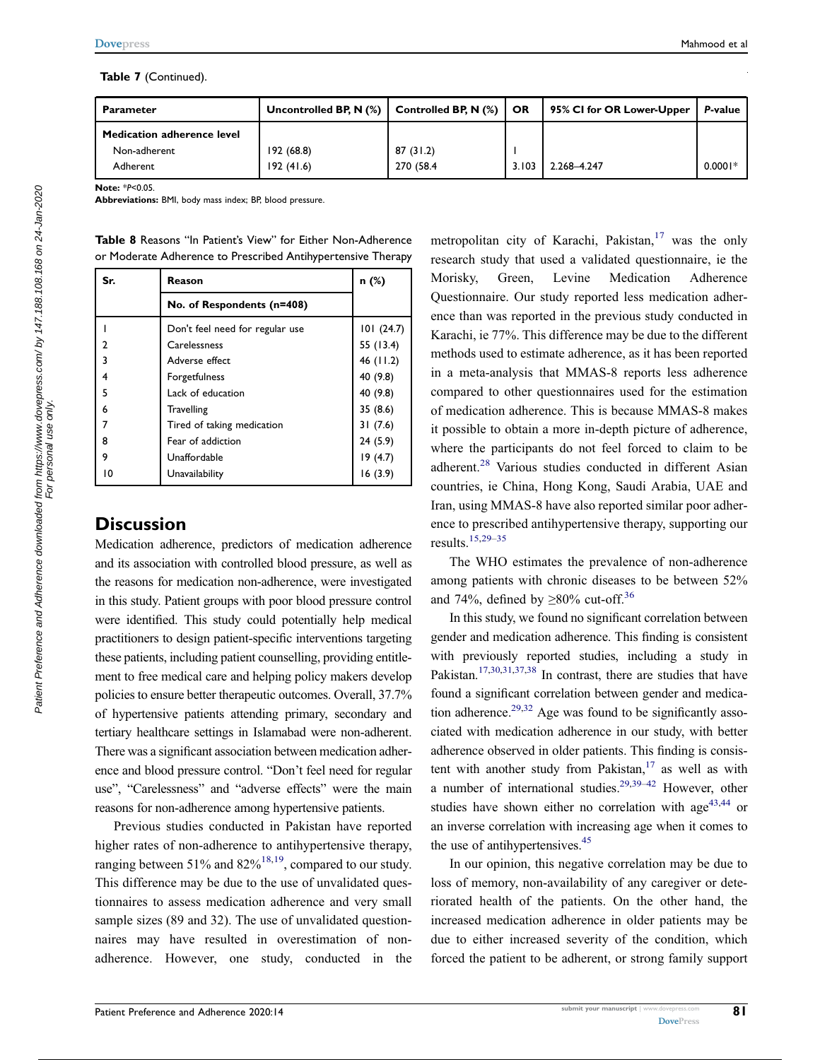| <b>Parameter</b>                  | Uncontrolled BP, N (%) | Controlled BP, $N$ $(\%)$ | I OR  | 95% CI for OR Lower-Upper | P-value   |
|-----------------------------------|------------------------|---------------------------|-------|---------------------------|-----------|
| <b>Medication adherence level</b> |                        |                           |       |                           |           |
| Non-adherent                      | 192(68.8)              | 87(31.2)                  |       |                           |           |
| Adherent                          | 192(41.6)              | 270 (58.4)                | 3.103 | 2.268-4.247               | $0.0001*$ |

Note: \*P<0.05.

Abbreviations: BMI, body mass index; BP, blood pressure.

<span id="page-9-0"></span>

| <b>Table 8</b> Reasons "In Patient's View" for Either Non-Adherence |  |  |  |  |
|---------------------------------------------------------------------|--|--|--|--|
| or Moderate Adherence to Prescribed Antihypertensive Therapy        |  |  |  |  |

| Sr. | Reason                          | n (%)       |
|-----|---------------------------------|-------------|
|     | No. of Respondents (n=408)      |             |
|     | Don't feel need for regular use | 101(24.7)   |
| 2   | Carelessness                    | 55 (13.4)   |
| 3   | Adverse effect                  | 46 $(11.2)$ |
|     | Forgetfulness                   | 40 (9.8)    |
| 5   | Lack of education               | 40 (9.8)    |
| 6   | <b>Travelling</b>               | 35(8.6)     |
|     | Tired of taking medication      | 31(7.6)     |
| 8   | Fear of addiction               | 24(5.9)     |
| 9   | Unaffordable                    | 19(4.7)     |
| 10  | Unavailability                  | 16(3.9)     |

## **Discussion**

Medication adherence, predictors of medication adherence and its association with controlled blood pressure, as well as the reasons for medication non-adherence, were investigated in this study. Patient groups with poor blood pressure control were identified. This study could potentially help medical practitioners to design patient-specific interventions targeting these patients, including patient counselling, providing entitlement to free medical care and helping policy makers develop policies to ensure better therapeutic outcomes. Overall, 37.7% of hypertensive patients attending primary, secondary and tertiary healthcare settings in Islamabad were non-adherent. There was a significant association between medication adherence and blood pressure control. "Don't feel need for regular use", "Carelessness" and "adverse effects" were the main reasons for non-adherence among hypertensive patients.

Previous studies conducted in Pakistan have reported higher rates of non-adherence to antihypertensive therapy, ranging between 51% and  $82\%^{18,19}$ , compared to our study. This difference may be due to the use of unvalidated questionnaires to assess medication adherence and very small sample sizes (89 and 32). The use of unvalidated questionnaires may have resulted in overestimation of nonadherence. However, one study, conducted in the

metropolitan city of Karachi, Pakistan, $17$  was the only research study that used a validated questionnaire, ie the Morisky, Green, Levine Medication Adherence Questionnaire. Our study reported less medication adherence than was reported in the previous study conducted in Karachi, ie 77%. This difference may be due to the different methods used to estimate adherence, as it has been reported in a meta-analysis that MMAS-8 reports less adherence compared to other questionnaires used for the estimation of medication adherence. This is because MMAS-8 makes it possible to obtain a more in-depth picture of adherence, where the participants do not feel forced to claim to be adherent.[28](#page-12-14) Various studies conducted in different Asian countries, ie China, Hong Kong, Saudi Arabia, UAE and Iran, using MMAS-8 have also reported similar poor adherence to prescribed antihypertensive therapy, supporting our results[.15,](#page-12-2)[29](#page-12-15)–[35](#page-12-16)

<span id="page-9-5"></span><span id="page-9-1"></span>The WHO estimates the prevalence of non-adherence among patients with chronic diseases to be between 52% and 74%, defined by  $\geq 80\%$  cut-off.<sup>36</sup>

<span id="page-9-6"></span><span id="page-9-4"></span><span id="page-9-3"></span>In this study, we found no significant correlation between gender and medication adherence. This finding is consistent with previously reported studies, including a study in Pakistan.<sup>17[,30,](#page-12-18)[31](#page-12-19)[,37,](#page-12-20)[38](#page-12-21)</sup> In contrast, there are studies that have found a significant correlation between gender and medica-tion adherence.<sup>29[,32](#page-12-22)</sup> Age was found to be significantly associated with medication adherence in our study, with better adherence observed in older patients. This finding is consistent with another study from Pakistan, $17$  as well as with a number of international studies[.29](#page-12-15)[,39](#page-12-23)–[42](#page-12-24) However, other studies have shown either no correlation with age<sup>43[,44](#page-12-26)</sup> or an inverse correlation with increasing age when it comes to the use of antihypertensives.<sup>45</sup>

<span id="page-9-8"></span><span id="page-9-7"></span><span id="page-9-2"></span>In our opinion, this negative correlation may be due to loss of memory, non-availability of any caregiver or deteriorated health of the patients. On the other hand, the increased medication adherence in older patients may be due to either increased severity of the condition, which forced the patient to be adherent, or strong family support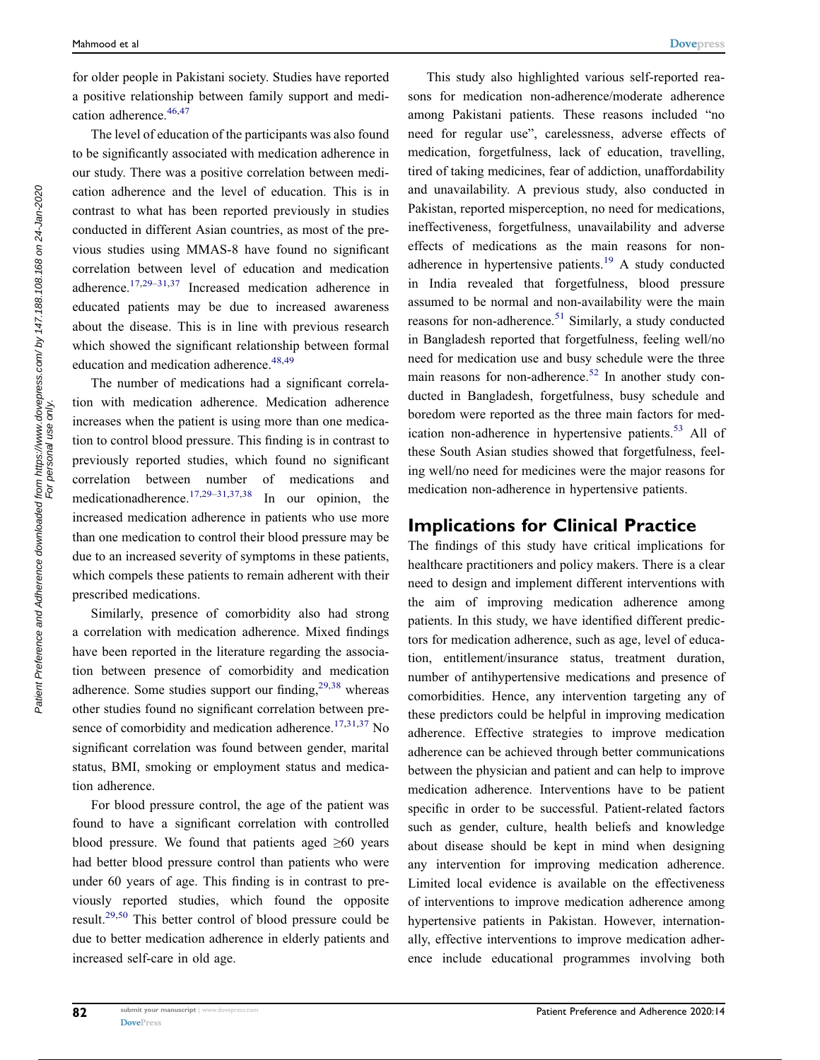for older people in Pakistani society. Studies have reported a positive relationship between family support and medi-cation adherence.<sup>[46](#page-12-28)[,47](#page-12-29)</sup>

<span id="page-10-0"></span>The level of education of the participants was also found to be significantly associated with medication adherence in our study. There was a positive correlation between medication adherence and the level of education. This is in contrast to what has been reported previously in studies conducted in different Asian countries, as most of the previous studies using MMAS-8 have found no significant correlation between level of education and medication adherence[.17,](#page-12-4)[29](#page-12-15)–[31](#page-12-19)[,37](#page-12-20) Increased medication adherence in educated patients may be due to increased awareness about the disease. This is in line with previous research which showed the significant relationship between formal education and medication adherence.<sup>[48](#page-12-30)[,49](#page-12-31)</sup>

<span id="page-10-1"></span>The number of medications had a significant correlation with medication adherence. Medication adherence increases when the patient is using more than one medication to control blood pressure. This finding is in contrast to previously reported studies, which found no significant correlation between number of medications and medicationadherence.<sup>[17,](#page-12-4)[29](#page-12-15)–[31](#page-12-19)[,37,](#page-12-20)[38](#page-12-21)</sup> In our opinion, the increased medication adherence in patients who use more than one medication to control their blood pressure may be due to an increased severity of symptoms in these patients, which compels these patients to remain adherent with their prescribed medications.

Similarly, presence of comorbidity also had strong a correlation with medication adherence. Mixed findings have been reported in the literature regarding the association between presence of comorbidity and medication adherence. Some studies support our finding, $29,38$  $29,38$  whereas other studies found no significant correlation between pre-sence of comorbidity and medication adherence.<sup>17,[31](#page-12-19)[,37](#page-12-20)</sup> No significant correlation was found between gender, marital status, BMI, smoking or employment status and medication adherence.

<span id="page-10-2"></span>For blood pressure control, the age of the patient was found to have a significant correlation with controlled blood pressure. We found that patients aged  $\geq 60$  years had better blood pressure control than patients who were under 60 years of age. This finding is in contrast to previously reported studies, which found the opposite result.[29](#page-12-15)[,50](#page-13-0) This better control of blood pressure could be due to better medication adherence in elderly patients and increased self-care in old age.

This study also highlighted various self-reported reasons for medication non-adherence/moderate adherence among Pakistani patients. These reasons included "no need for regular use", carelessness, adverse effects of medication, forgetfulness, lack of education, travelling, tired of taking medicines, fear of addiction, unaffordability and unavailability. A previous study, also conducted in Pakistan, reported misperception, no need for medications, ineffectiveness, forgetfulness, unavailability and adverse effects of medications as the main reasons for non-adherence in hypertensive patients.<sup>[19](#page-12-6)</sup> A study conducted in India revealed that forgetfulness, blood pressure assumed to be normal and non-availability were the main reasons for non-adherence.<sup>[51](#page-13-1)</sup> Similarly, a study conducted in Bangladesh reported that forgetfulness, feeling well/no need for medication use and busy schedule were the three main reasons for non-adherence.<sup>[52](#page-13-2)</sup> In another study conducted in Bangladesh, forgetfulness, busy schedule and boredom were reported as the three main factors for medication non-adherence in hypertensive patients. $53$  All of these South Asian studies showed that forgetfulness, feeling well/no need for medicines were the major reasons for medication non-adherence in hypertensive patients.

## <span id="page-10-5"></span><span id="page-10-4"></span><span id="page-10-3"></span>Implications for Clinical Practice

The findings of this study have critical implications for healthcare practitioners and policy makers. There is a clear need to design and implement different interventions with the aim of improving medication adherence among patients. In this study, we have identified different predictors for medication adherence, such as age, level of education, entitlement/insurance status, treatment duration, number of antihypertensive medications and presence of comorbidities. Hence, any intervention targeting any of these predictors could be helpful in improving medication adherence. Effective strategies to improve medication adherence can be achieved through better communications between the physician and patient and can help to improve medication adherence. Interventions have to be patient specific in order to be successful. Patient-related factors such as gender, culture, health beliefs and knowledge about disease should be kept in mind when designing any intervention for improving medication adherence. Limited local evidence is available on the effectiveness of interventions to improve medication adherence among hypertensive patients in Pakistan. However, internationally, effective interventions to improve medication adherence include educational programmes involving both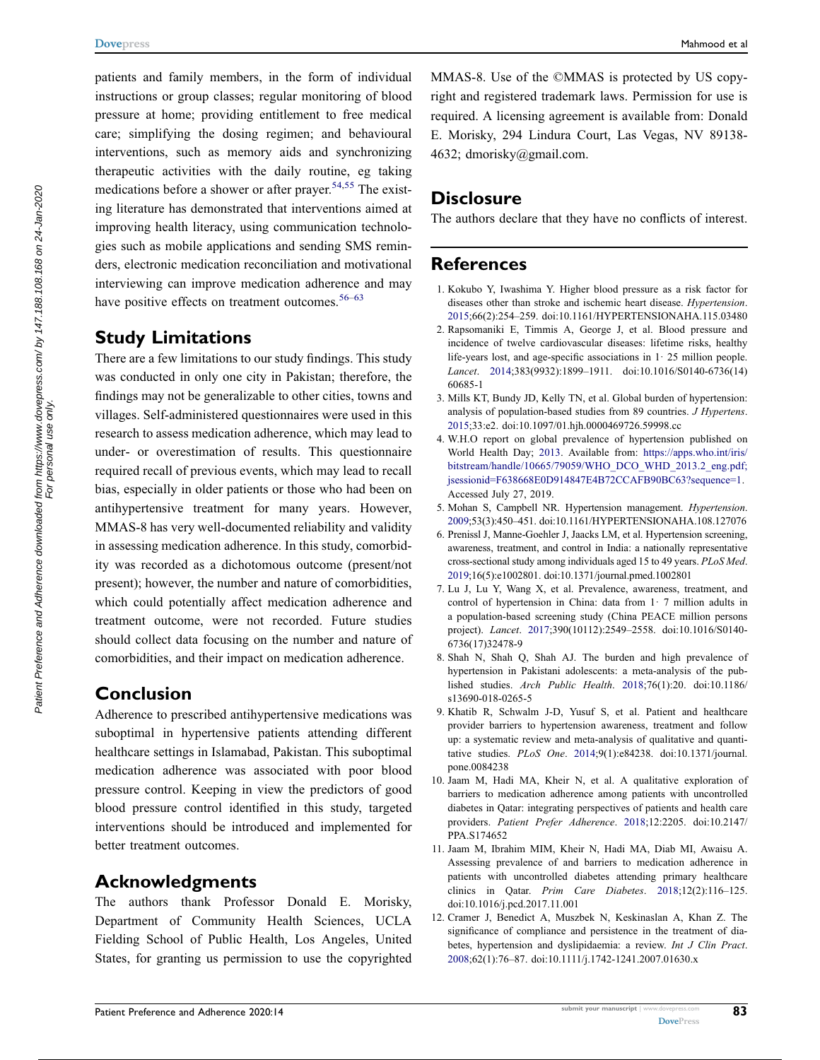<span id="page-11-11"></span>patients and family members, in the form of individual instructions or group classes; regular monitoring of blood pressure at home; providing entitlement to free medical care; simplifying the dosing regimen; and behavioural interventions, such as memory aids and synchronizing therapeutic activities with the daily routine, eg taking medications before a shower or after prayer.<sup>[54](#page-13-4)[,55](#page-13-5)</sup> The existing literature has demonstrated that interventions aimed at improving health literacy, using communication technologies such as mobile applications and sending SMS reminders, electronic medication reconciliation and motivational interviewing can improve medication adherence and may have positive effects on treatment outcomes.<sup>[56](#page-13-6)–[63](#page-13-7)</sup>

## <span id="page-11-12"></span>Study Limitations

There are a few limitations to our study findings. This study was conducted in only one city in Pakistan; therefore, the findings may not be generalizable to other cities, towns and villages. Self-administered questionnaires were used in this research to assess medication adherence, which may lead to under- or overestimation of results. This questionnaire required recall of previous events, which may lead to recall bias, especially in older patients or those who had been on antihypertensive treatment for many years. However, MMAS-8 has very well-documented reliability and validity in assessing medication adherence. In this study, comorbidity was recorded as a dichotomous outcome (present/not present); however, the number and nature of comorbidities, which could potentially affect medication adherence and treatment outcome, were not recorded. Future studies should collect data focusing on the number and nature of comorbidities, and their impact on medication adherence.

## **Conclusion**

Adherence to prescribed antihypertensive medications was suboptimal in hypertensive patients attending different healthcare settings in Islamabad, Pakistan. This suboptimal medication adherence was associated with poor blood pressure control. Keeping in view the predictors of good blood pressure control identified in this study, targeted interventions should be introduced and implemented for better treatment outcomes.

## Acknowledgments

The authors thank Professor Donald E. Morisky, Department of Community Health Sciences, UCLA Fielding School of Public Health, Los Angeles, United States, for granting us permission to use the copyrighted MMAS-8. Use of the ©MMAS is protected by US copyright and registered trademark laws. Permission for use is required. A licensing agreement is available from: Donald E. Morisky, 294 Lindura Court, Las Vegas, NV 89138- 4632; dmorisky@gmail.com.

## **Disclosure**

The authors declare that they have no conflicts of interest.

## References

- <span id="page-11-0"></span>1. Kokubo Y, Iwashima Y. Higher blood pressure as a risk factor for diseases other than stroke and ischemic heart disease. Hypertension. [2015](#page-2-0);66(2):254–259. doi:[10.1161/HYPERTENSIONAHA.115.03480](https://doi.org/10.1161/HYPERTENSIONAHA.115.03480)
- <span id="page-11-1"></span>2. Rapsomaniki E, Timmis A, George J, et al. Blood pressure and incidence of twelve cardiovascular diseases: lifetime risks, healthy life-years lost, and age-specific associations in 1· 25 million people. Lancet. [2014](#page-2-0);383(9932):1899–1911. doi:[10.1016/S0140-6736\(14\)](https://doi.org/10.1016/S0140-6736(14)60685-1) [60685-1](https://doi.org/10.1016/S0140-6736(14)60685-1)
- <span id="page-11-2"></span>3. Mills KT, Bundy JD, Kelly TN, et al. Global burden of hypertension: analysis of population-based studies from 89 countries. J Hypertens. [2015](#page-2-1);33:e2. doi:[10.1097/01.hjh.0000469726.59998.cc](https://doi.org/10.1097/01.hjh.0000469726.59998.cc)
- <span id="page-11-3"></span>4. W.H.O report on global prevalence of hypertension published on World Health Day; [2013.](#page-2-2) Available from: [https://apps.who.int/iris/](https://apps.who.int/iris/bitstream/handle/10665/79059/WHO_DCO_WHD_2013.2_eng.pdf;jsessionid=F638668E0D914847E4B72CCAFB90BC63?sequence=1) [bitstream/handle/10665/79059/WHO\\_DCO\\_WHD\\_2013.2\\_eng.pdf;](https://apps.who.int/iris/bitstream/handle/10665/79059/WHO_DCO_WHD_2013.2_eng.pdf;jsessionid=F638668E0D914847E4B72CCAFB90BC63?sequence=1) [jsessionid=F638668E0D914847E4B72CCAFB90BC63?sequence=1](https://apps.who.int/iris/bitstream/handle/10665/79059/WHO_DCO_WHD_2013.2_eng.pdf;jsessionid=F638668E0D914847E4B72CCAFB90BC63?sequence=1). Accessed July 27, 2019.
- <span id="page-11-4"></span>5. Mohan S, Campbell NR. Hypertension management. Hypertension. [2009](#page-2-3);53(3):450–451. doi:[10.1161/HYPERTENSIONAHA.108.127076](https://doi.org/10.1161/HYPERTENSIONAHA.108.127076)
- <span id="page-11-5"></span>6. Prenissl J, Manne-Goehler J, Jaacks LM, et al. Hypertension screening, awareness, treatment, and control in India: a nationally representative cross-sectional study among individuals aged 15 to 49 years. PLoS Med. [2019](#page-2-4);16(5):e1002801. doi:[10.1371/journal.pmed.1002801](https://doi.org/10.1371/journal.pmed.1002801)
- <span id="page-11-6"></span>7. Lu J, Lu Y, Wang X, et al. Prevalence, awareness, treatment, and control of hypertension in China: data from 1· 7 million adults in a population-based screening study (China PEACE million persons project). Lancet. [2017](#page-2-4);390(10112):2549–2558. doi:[10.1016/S0140-](https://doi.org/10.1016/S0140-6736(17)32478-9) [6736\(17\)32478-9](https://doi.org/10.1016/S0140-6736(17)32478-9)
- <span id="page-11-7"></span>8. Shah N, Shah Q, Shah AJ. The burden and high prevalence of hypertension in Pakistani adolescents: a meta-analysis of the published studies. Arch Public Health. [2018;](#page-2-5)76(1):20. doi:[10.1186/](https://doi.org/10.1186/s13690-018-0265-5) [s13690-018-0265-5](https://doi.org/10.1186/s13690-018-0265-5)
- <span id="page-11-8"></span>9. Khatib R, Schwalm J-D, Yusuf S, et al. Patient and healthcare provider barriers to hypertension awareness, treatment and follow up: a systematic review and meta-analysis of qualitative and quantitative studies. PLoS One. [2014;](#page-2-6)9(1):e84238. doi:[10.1371/journal.](https://doi.org/10.1371/journal.pone.0084238) [pone.0084238](https://doi.org/10.1371/journal.pone.0084238)
- 10. Jaam M, Hadi MA, Kheir N, et al. A qualitative exploration of barriers to medication adherence among patients with uncontrolled diabetes in Qatar: integrating perspectives of patients and health care providers. Patient Prefer Adherence. 2018;12:2205. doi:[10.2147/](https://doi.org/10.2147/PPA.S174652) [PPA.S174652](https://doi.org/10.2147/PPA.S174652)
- <span id="page-11-9"></span>11. Jaam M, Ibrahim MIM, Kheir N, Hadi MA, Diab MI, Awaisu A. Assessing prevalence of and barriers to medication adherence in patients with uncontrolled diabetes attending primary healthcare clinics in Qatar. Prim Care Diabetes. [2018;](#page-2-6)12(2):116–125. doi:[10.1016/j.pcd.2017.11.001](https://doi.org/10.1016/j.pcd.2017.11.001)
- <span id="page-11-10"></span>12. Cramer J, Benedict A, Muszbek N, Keskinaslan A, Khan Z. The significance of compliance and persistence in the treatment of diabetes, hypertension and dyslipidaemia: a review. Int J Clin Pract. [2008](#page-2-7);62(1):76–87. doi:[10.1111/j.1742-1241.2007.01630.x](https://doi.org/10.1111/j.1742-1241.2007.01630.x)

For personal use only.

83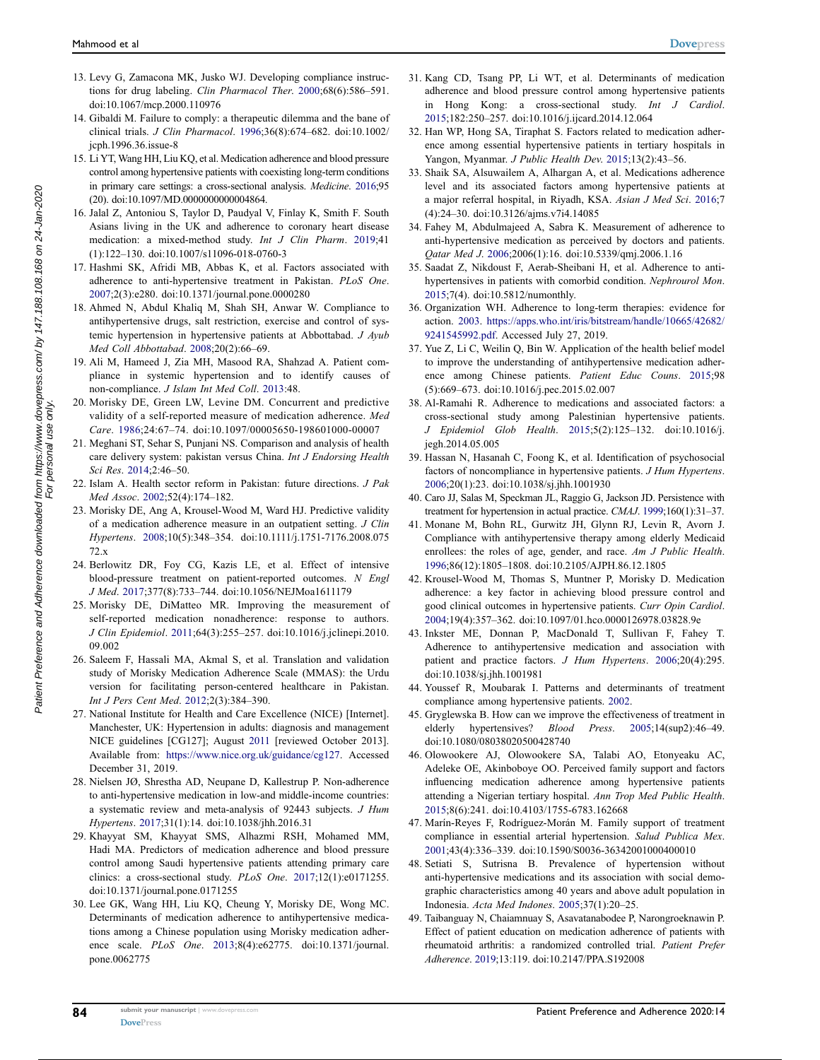- <span id="page-12-0"></span>13. Levy G, Zamacona MK, Jusko WJ. Developing compliance instructions for drug labeling. Clin Pharmacol Ther. [2000;](#page-2-8)68(6):586–591. doi:[10.1067/mcp.2000.110976](https://doi.org/10.1067/mcp.2000.110976)
- <span id="page-12-1"></span>14. Gibaldi M. Failure to comply: a therapeutic dilemma and the bane of clinical trials. J Clin Pharmacol. [1996](#page-2-9);36(8):674–682. doi:[10.1002/](https://doi.org/10.1002/jcph.1996.36.issue-8) [jcph.1996.36.issue-8](https://doi.org/10.1002/jcph.1996.36.issue-8)
- <span id="page-12-2"></span>15. Li YT, Wang HH, Liu KQ, et al. Medication adherence and blood pressure control among hypertensive patients with coexisting long-term conditions in primary care settings: a cross-sectional analysis. Medicine. [2016;](#page-2-10)95 (20). doi:[10.1097/MD.0000000000004864.](https://doi.org/10.1097/MD.0000000000004864)
- <span id="page-12-3"></span>16. Jalal Z, Antoniou S, Taylor D, Paudyal V, Finlay K, Smith F. South Asians living in the UK and adherence to coronary heart disease medication: a mixed-method study. Int J Clin Pharm. [2019](#page-2-10);41 (1):122–130. doi:[10.1007/s11096-018-0760-3](https://doi.org/10.1007/s11096-018-0760-3)
- <span id="page-12-4"></span>17. Hashmi SK, Afridi MB, Abbas K, et al. Factors associated with adherence to anti-hypertensive treatment in Pakistan. PLoS One. [2007;](#page-2-11)2(3):e280. doi:[10.1371/journal.pone.0000280](https://doi.org/10.1371/journal.pone.0000280)
- <span id="page-12-5"></span>18. Ahmed N, Abdul Khaliq M, Shah SH, Anwar W. Compliance to antihypertensive drugs, salt restriction, exercise and control of systemic hypertension in hypertensive patients at Abbottabad. J Ayub Med Coll Abbottabad. [2008;](#page-2-12)20(2):66–69.
- <span id="page-12-6"></span>19. Ali M, Hameed J, Zia MH, Masood RA, Shahzad A. Patient compliance in systemic hypertension and to identify causes of non-compliance. J Islam Int Med Coll. [2013](#page-2-12):48.
- <span id="page-12-7"></span>20. Morisky DE, Green LW, Levine DM. Concurrent and predictive validity of a self-reported measure of medication adherence. Med Care. [1986](#page-2-11);24:67–74. doi:[10.1097/00005650-198601000-00007](https://doi.org/10.1097/00005650-198601000-00007)
- <span id="page-12-8"></span>21. Meghani ST, Sehar S, Punjani NS. Comparison and analysis of health care delivery system: pakistan versus China. Int J Endorsing Health Sci Res. [2014](#page-2-13);2:46–50.
- <span id="page-12-9"></span>22. Islam A. Health sector reform in Pakistan: future directions. J Pak Med Assoc. [2002;](#page-2-13)52(4):174–182.
- <span id="page-12-10"></span>23. Morisky DE, Ang A, Krousel-Wood M, Ward HJ. Predictive validity of a medication adherence measure in an outpatient setting. J Clin Hypertens. [2008;](#page-3-1)10(5):348–354. doi:[10.1111/j.1751-7176.2008.075](https://doi.org/10.1111/j.1751-7176.2008.07572.x) [72.x](https://doi.org/10.1111/j.1751-7176.2008.07572.x)
- 24. Berlowitz DR, Foy CG, Kazis LE, et al. Effect of intensive blood-pressure treatment on patient-reported outcomes. N Engl J Med. 2017;377(8):733–744. doi:[10.1056/NEJMoa1611179](https://doi.org/10.1056/NEJMoa1611179)
- <span id="page-12-11"></span>25. Morisky DE, DiMatteo MR. Improving the measurement of self-reported medication nonadherence: response to authors. J Clin Epidemiol. [2011](#page-3-2);64(3):255–257. doi:[10.1016/j.jclinepi.2010.](https://doi.org/10.1016/j.jclinepi.2010.09.002) [09.002](https://doi.org/10.1016/j.jclinepi.2010.09.002)
- <span id="page-12-12"></span>26. Saleem F, Hassali MA, Akmal S, et al. Translation and validation study of Morisky Medication Adherence Scale (MMAS): the Urdu version for facilitating person-centered healthcare in Pakistan. Int J Pers Cent Med. [2012](#page-3-3);2(3):384–390.
- <span id="page-12-13"></span>27. National Institute for Health and Care Excellence (NICE) [Internet]. Manchester, UK: Hypertension in adults: diagnosis and management NICE guidelines [CG127]; August [2011](#page-3-4) [reviewed October 2013]. Available from: [https://www.nice.org.uk/guidance/cg127.](https://www.nice.org.uk/guidance/cg127) Accessed December 31, 2019.
- <span id="page-12-14"></span>28. Nielsen JØ, Shrestha AD, Neupane D, Kallestrup P. Non-adherence to anti-hypertensive medication in low-and middle-income countries: a systematic review and meta-analysis of 92443 subjects. J Hum Hypertens. [2017](#page-9-1);31(1):14. doi:[10.1038/jhh.2016.31](https://doi.org/10.1038/jhh.2016.31)
- <span id="page-12-15"></span>29. Khayyat SM, Khayyat SMS, Alhazmi RSH, Mohamed MM, Hadi MA. Predictors of medication adherence and blood pressure control among Saudi hypertensive patients attending primary care clinics: a cross-sectional study. PLoS One. [2017](#page-9-2);12(1):e0171255. doi:[10.1371/journal.pone.0171255](https://doi.org/10.1371/journal.pone.0171255)
- <span id="page-12-18"></span>30. Lee GK, Wang HH, Liu KQ, Cheung Y, Morisky DE, Wong MC. Determinants of medication adherence to antihypertensive medications among a Chinese population using Morisky medication adherence scale. PLoS One. [2013](#page-9-3);8(4):e62775. doi:[10.1371/journal.](https://doi.org/10.1371/journal.pone.0062775) [pone.0062775](https://doi.org/10.1371/journal.pone.0062775)
- <span id="page-12-19"></span>31. Kang CD, Tsang PP, Li WT, et al. Determinants of medication adherence and blood pressure control among hypertensive patients in Hong Kong: a cross-sectional study. Int J Cardiol. [2015](#page-9-3);182:250–257. doi:[10.1016/j.ijcard.2014.12.064](https://doi.org/10.1016/j.ijcard.2014.12.064)
- <span id="page-12-22"></span>32. Han WP, Hong SA, Tiraphat S. Factors related to medication adherence among essential hypertensive patients in tertiary hospitals in Yangon, Myanmar. J Public Health Dev. [2015](#page-9-4);13(2):43–56.
- 33. Shaik SA, Alsuwailem A, Alhargan A, et al. Medications adherence level and its associated factors among hypertensive patients at a major referral hospital, in Riyadh, KSA. Asian J Med Sci. 2016;7 (4):24–30. doi:[10.3126/ajms.v7i4.14085](https://doi.org/10.3126/ajms.v7i4.14085)
- 34. Fahey M, Abdulmajeed A, Sabra K. Measurement of adherence to anti-hypertensive medication as perceived by doctors and patients. Qatar Med J. 2006;2006(1):16. doi:[10.5339/qmj.2006.1.16](https://doi.org/10.5339/qmj.2006.1.16)
- <span id="page-12-16"></span>35. Saadat Z, Nikdoust F, Aerab-Sheibani H, et al. Adherence to antihypertensives in patients with comorbid condition. Nephrourol Mon. [2015](#page-9-5);7(4). doi:[10.5812/numonthly.](https://doi.org/10.5812/numonthly)
- <span id="page-12-17"></span>36. Organization WH. Adherence to long-term therapies: evidence for action. [2003](#page-9-6). [https://apps.who.int/iris/bitstream/handle/10665/42682/](https://apps.who.int/iris/bitstream/handle/10665/42682/9241545992.pdf) [9241545992.pdf](https://apps.who.int/iris/bitstream/handle/10665/42682/9241545992.pdf). Accessed July 27, 2019.
- <span id="page-12-20"></span>37. Yue Z, Li C, Weilin Q, Bin W. Application of the health belief model to improve the understanding of antihypertensive medication adher-ence among Chinese patients. Patient Educ Couns. [2015](#page-9-3);98 (5):669–673. doi:[10.1016/j.pec.2015.02.007](https://doi.org/10.1016/j.pec.2015.02.007)
- <span id="page-12-21"></span>38. Al-Ramahi R. Adherence to medications and associated factors: a cross-sectional study among Palestinian hypertensive patients. J Epidemiol Glob Health. [2015;](#page-9-3)5(2):125–132. doi:[10.1016/j.](https://doi.org/10.1016/j.jegh.2014.05.005) [jegh.2014.05.005](https://doi.org/10.1016/j.jegh.2014.05.005)
- <span id="page-12-23"></span>39. Hassan N, Hasanah C, Foong K, et al. Identification of psychosocial factors of noncompliance in hypertensive patients. J Hum Hypertens. [2006](#page-9-2);20(1):23. doi:[10.1038/sj.jhh.1001930](https://doi.org/10.1038/sj.jhh.1001930)
- 40. Caro JJ, Salas M, Speckman JL, Raggio G, Jackson JD. Persistence with treatment for hypertension in actual practice. CMAJ. 1999;160(1):31–37.
- 41. Monane M, Bohn RL, Gurwitz JH, Glynn RJ, Levin R, Avorn J. Compliance with antihypertensive therapy among elderly Medicaid enrollees: the roles of age, gender, and race. Am J Public Health. 1996;86(12):1805–1808. doi:[10.2105/AJPH.86.12.1805](https://doi.org/10.2105/AJPH.86.12.1805)
- <span id="page-12-24"></span>42. Krousel-Wood M, Thomas S, Muntner P, Morisky D. Medication adherence: a key factor in achieving blood pressure control and good clinical outcomes in hypertensive patients. Curr Opin Cardiol. [2004](#page-9-2);19(4):357–362. doi:[10.1097/01.hco.0000126978.03828.9e](https://doi.org/10.1097/01.hco.0000126978.03828.9e)
- <span id="page-12-25"></span>43. Inkster ME, Donnan P, MacDonald T, Sullivan F, Fahey T. Adherence to antihypertensive medication and association with patient and practice factors. J Hum Hypertens. [2006;](#page-9-7)20(4):295. doi:[10.1038/sj.jhh.1001981](https://doi.org/10.1038/sj.jhh.1001981)
- <span id="page-12-26"></span>44. Youssef R, Moubarak I. Patterns and determinants of treatment compliance among hypertensive patients. [2002](#page-9-7).
- <span id="page-12-27"></span>45. Gryglewska B. How can we improve the effectiveness of treatment in elderly hypertensives? Blood Press. [2005;](#page-9-8)14(sup2):46–49. doi:[10.1080/08038020500428740](https://doi.org/10.1080/08038020500428740)
- <span id="page-12-28"></span>46. Olowookere AJ, Olowookere SA, Talabi AO, Etonyeaku AC, Adeleke OE, Akinboboye OO. Perceived family support and factors influencing medication adherence among hypertensive patients attending a Nigerian tertiary hospital. Ann Trop Med Public Health. [2015](#page-10-0);8(6):241. doi:[10.4103/1755-6783.162668](https://doi.org/10.4103/1755-6783.162668)
- <span id="page-12-29"></span>47. Marín-Reyes F, Rodríguez-Morán M. Family support of treatment compliance in essential arterial hypertension. Salud Publica Mex. [2001](#page-10-0);43(4):336–339. doi:[10.1590/S0036-36342001000400010](https://doi.org/10.1590/S0036-36342001000400010)
- <span id="page-12-30"></span>48. Setiati S, Sutrisna B. Prevalence of hypertension without anti-hypertensive medications and its association with social demographic characteristics among 40 years and above adult population in Indonesia. Acta Med Indones. [2005](#page-10-1);37(1):20–25.
- <span id="page-12-31"></span>49. Taibanguay N, Chaiamnuay S, Asavatanabodee P, Narongroeknawin P. Effect of patient education on medication adherence of patients with rheumatoid arthritis: a randomized controlled trial. Patient Prefer Adherence. [2019](#page-10-1);13:119. doi:[10.2147/PPA.S192008](https://doi.org/10.2147/PPA.S192008)